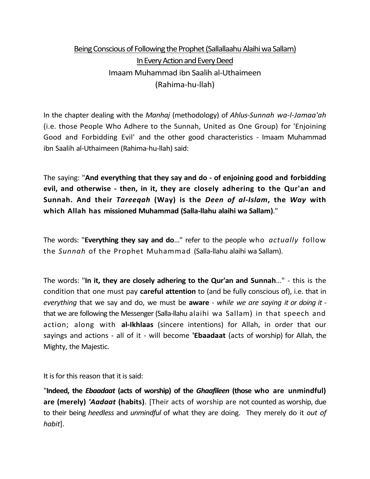## Being Conscious of Following the Prophet (Sallallaahu Alaihi wa Sallam) In Every Action and Every Deed Imaam Muhammad ibn Saalih al-Uthaimeen (Rahima-hu-llah)

In the chapter dealing with the *Manhaj* (methodology) of *Ahlus-Sunnah wa-l-Jamaa'ah* (i.e. those People Who Adhere to the Sunnah, United as One Group) for 'Enjoining Good and Forbidding Evil' and the other good characteristics - Imaam Muhammad ibn Saalih al-Uthaimeen (Rahima-hu-llah) said:

The saying: "**And everything that they say and do - of enjoining good and forbidding evil, and otherwise - then, in it, they are closely adhering to the Qur'an and Sunnah. And their** *Tareeqah* **(Way) is the** *Deen of al-Islam***, the** *Way* **with which Allah has missioned Muhammad (Salla-llahu alaihi wa Sallam)**."

The words: "**Everything they say and do**..." refer to the people who *actually* follow the *Sunnah* of the Prophet Muhammad (Salla-llahu alaihi wa Sallam).

The words: "**In it, they are closely adhering to the Qur'an and Sunnah**…" - this is the condition that one must pay **careful attention** to (and be fully conscious of), i.e. that in *everything* that we say and do, we must be **aware** - *while we are saying it or doing it* that we are following the Messenger (Salla-llahu alaihi wa Sallam) in that speech and action; along with **al-Ikhlaas** (sincere intentions) for Allah, in order that our sayings and actions - all of it - will become **'Ebaadaat** (acts of worship) for Allah, the Mighty, the Majestic.

It is for this reason that it is said:

"**Indeed, the** *Ebaadaat* **(acts of worship) of the** *Ghaafileen* **(those who are unmindful) are (merely)** *'Aadaat* **(habits)**. [Their acts of worship are not counted as worship, due to their being *heedless* and *unmindful* of what they are doing. They merely do it *out of habit*].